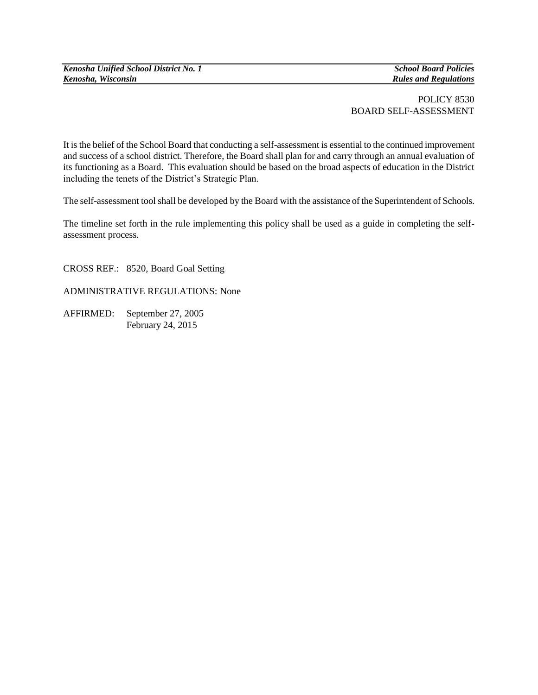*Kenosha, Wisconsin Rules and Regulations*

## POLICY 8530 BOARD SELF-ASSESSMENT

It is the belief of the School Board that conducting a self-assessment is essential to the continued improvement and success of a school district. Therefore, the Board shall plan for and carry through an annual evaluation of its functioning as a Board. This evaluation should be based on the broad aspects of education in the District including the tenets of the District's Strategic Plan.

The self-assessment tool shall be developed by the Board with the assistance of the Superintendent of Schools.

The timeline set forth in the rule implementing this policy shall be used as a guide in completing the selfassessment process*.*

CROSS REF.: 8520, Board Goal Setting

ADMINISTRATIVE REGULATIONS: None

AFFIRMED: September 27, 2005 February 24, 2015